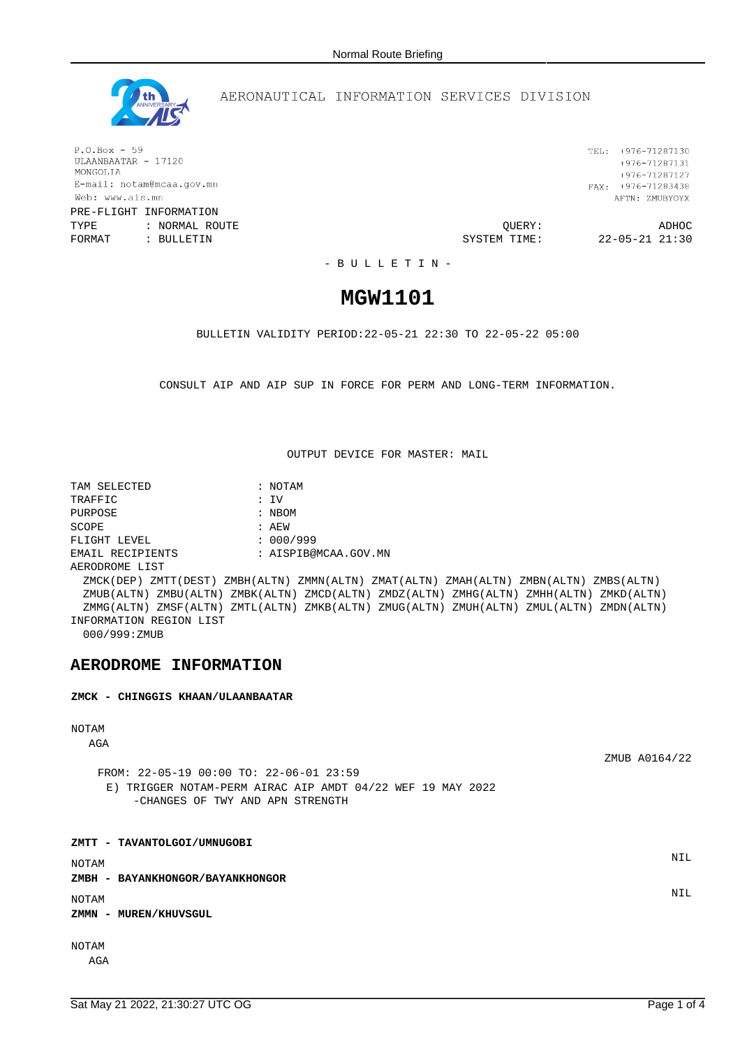

### AERONAUTICAL INFORMATION SERVICES DIVISION

 $P.O.Box - 59$ ULAANBAATAR - 17120 MONGOLIA E-mail: notam@mcaa.gov.mn Web: www.ais.mn

PRE-FLIGHT INFORMATION TYPE : NORMAL ROUTE QUERY: ADHOC FORMAT : BULLETIN **FORMAT** : BULLETIN **SYSTEM** TIME: 22-05-21 21:30

TEL: +976-71287130  $+976 - 71287131$ +976-71287127 FAX: +976-71283438 AFTN: ZMUBYOYX

- B U L L E T I N -

# **MGW1101**

BULLETIN VALIDITY PERIOD:22-05-21 22:30 TO 22-05-22 05:00

CONSULT AIP AND AIP SUP IN FORCE FOR PERM AND LONG-TERM INFORMATION.

OUTPUT DEVICE FOR MASTER: MAIL

TAM SELECTED : NOTAM TRAFFIC : IV PURPOSE : NBOM SCOPE : AEW FLIGHT LEVEL : 000/999 EMAIL RECIPIENTS : AISPIB@MCAA.GOV.MN AERODROME LIST ZMCK(DEP) ZMTT(DEST) ZMBH(ALTN) ZMMN(ALTN) ZMAT(ALTN) ZMAH(ALTN) ZMBN(ALTN) ZMBS(ALTN) ZMUB(ALTN) ZMBU(ALTN) ZMBK(ALTN) ZMCD(ALTN) ZMDZ(ALTN) ZMHG(ALTN) ZMHH(ALTN) ZMKD(ALTN) ZMMG(ALTN) ZMSF(ALTN) ZMTL(ALTN) ZMKB(ALTN) ZMUG(ALTN) ZMUH(ALTN) ZMUL(ALTN) ZMDN(ALTN) INFORMATION REGION LIST 000/999:ZMUB

### **AERODROME INFORMATION**

#### **ZMCK - CHINGGIS KHAAN/ULAANBAATAR**

#### NOTAM

AGA

ZMUB A0164/22

FROM: 22-05-19 00:00 TO: 22-06-01 23:59 E) TRIGGER NOTAM-PERM AIRAC AIP AMDT 04/22 WEF 19 MAY 2022 -CHANGES OF TWY AND APN STRENGTH

**ZMTT - TAVANTOLGOI/UMNUGOBI** NOTAM NIL **ZMBH - BAYANKHONGOR/BAYANKHONGOR** NOTAM NIL **ZMMN - MUREN/KHUVSGUL**

NOTAM

AGA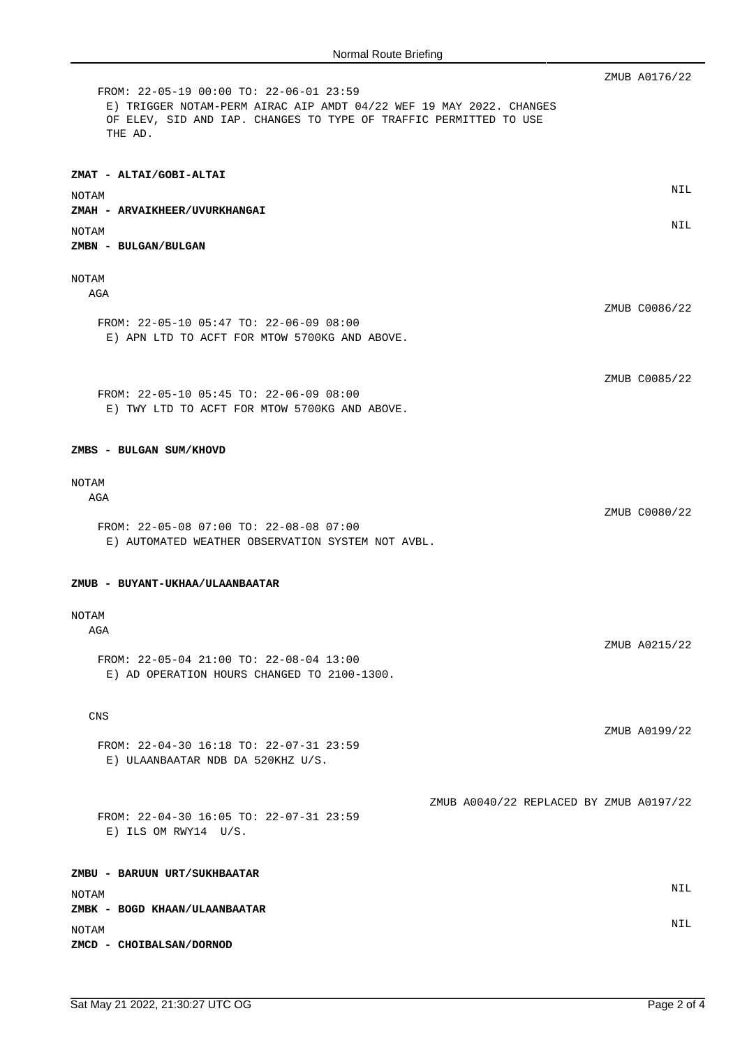|                                                                                                                                                                                                | ZMUB A0176/22                           |
|------------------------------------------------------------------------------------------------------------------------------------------------------------------------------------------------|-----------------------------------------|
| FROM: 22-05-19 00:00 TO: 22-06-01 23:59<br>E) TRIGGER NOTAM-PERM AIRAC AIP AMDT 04/22 WEF 19 MAY 2022. CHANGES<br>OF ELEV, SID AND IAP. CHANGES TO TYPE OF TRAFFIC PERMITTED TO USE<br>THE AD. |                                         |
| ZMAT - ALTAI/GOBI-ALTAI                                                                                                                                                                        |                                         |
| NOTAM                                                                                                                                                                                          | NIL                                     |
| ZMAH - ARVAIKHEER/UVURKHANGAI                                                                                                                                                                  |                                         |
| NOTAM                                                                                                                                                                                          | NIL                                     |
| ZMBN - BULGAN/BULGAN                                                                                                                                                                           |                                         |
| NOTAM<br>AGA                                                                                                                                                                                   |                                         |
|                                                                                                                                                                                                | ZMUB C0086/22                           |
| FROM: 22-05-10 05:47 TO: 22-06-09 08:00<br>E) APN LTD TO ACFT FOR MTOW 5700KG AND ABOVE.                                                                                                       |                                         |
|                                                                                                                                                                                                |                                         |
| FROM: 22-05-10 05:45 TO: 22-06-09 08:00<br>E) TWY LTD TO ACFT FOR MTOW 5700KG AND ABOVE.                                                                                                       | ZMUB C0085/22                           |
| ZMBS - BULGAN SUM/KHOVD                                                                                                                                                                        |                                         |
| NOTAM                                                                                                                                                                                          |                                         |
| AGA                                                                                                                                                                                            | ZMUB C0080/22                           |
| FROM: 22-05-08 07:00 TO: 22-08-08 07:00<br>E) AUTOMATED WEATHER OBSERVATION SYSTEM NOT AVBL.                                                                                                   |                                         |
| ZMUB - BUYANT-UKHAA/ULAANBAATAR                                                                                                                                                                |                                         |
| NOTAM                                                                                                                                                                                          |                                         |
| AGA                                                                                                                                                                                            |                                         |
| FROM: 22-05-04 21:00 TO: 22-08-04 13:00<br>E) AD OPERATION HOURS CHANGED TO 2100-1300.                                                                                                         | ZMUB A0215/22                           |
| <b>CNS</b>                                                                                                                                                                                     |                                         |
|                                                                                                                                                                                                | ZMUB A0199/22                           |
| FROM: 22-04-30 16:18 TO: 22-07-31 23:59<br>E) ULAANBAATAR NDB DA 520KHZ U/S.                                                                                                                   |                                         |
|                                                                                                                                                                                                |                                         |
| FROM: 22-04-30 16:05 TO: 22-07-31 23:59<br>$E)$ ILS OM RWY14 U/S.                                                                                                                              | ZMUB A0040/22 REPLACED BY ZMUB A0197/22 |
| ZMBU - BARUUN URT/SUKHBAATAR                                                                                                                                                                   |                                         |
|                                                                                                                                                                                                | NIL                                     |
| NOTAM<br>ZMBK - BOGD KHAAN/ULAANBAATAR                                                                                                                                                         |                                         |
| NOTAM                                                                                                                                                                                          | NIL                                     |
| ZMCD - CHOIBALSAN/DORNOD                                                                                                                                                                       |                                         |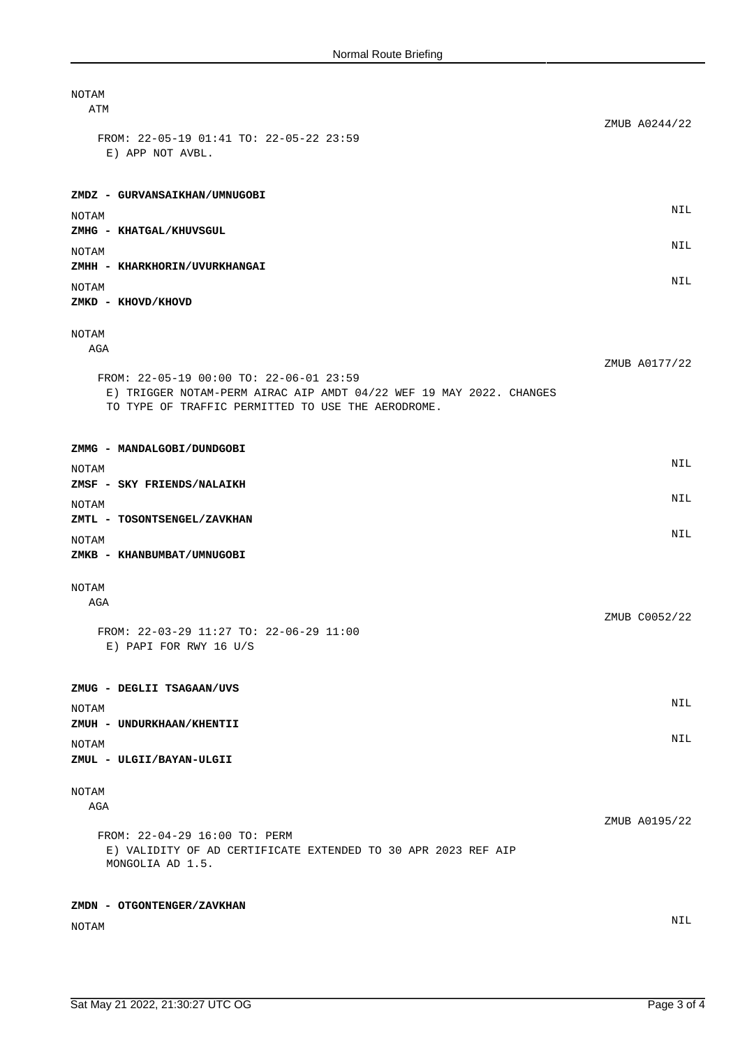| NOTAM<br>ATM                                                                                                                                                         |               |
|----------------------------------------------------------------------------------------------------------------------------------------------------------------------|---------------|
| FROM: 22-05-19 01:41 TO: 22-05-22 23:59<br>E) APP NOT AVBL.                                                                                                          | ZMUB A0244/22 |
|                                                                                                                                                                      |               |
| ZMDZ - GURVANSAIKHAN/UMNUGOBI                                                                                                                                        | NIL           |
| NOTAM<br>ZMHG - KHATGAL/KHUVSGUL                                                                                                                                     |               |
| NOTAM<br>ZMHH - KHARKHORIN/UVURKHANGAI                                                                                                                               | NIL           |
| NOTAM                                                                                                                                                                | NIL           |
| ZMKD - KHOVD/KHOVD                                                                                                                                                   |               |
| NOTAM<br>AGA                                                                                                                                                         |               |
| FROM: 22-05-19 00:00 TO: 22-06-01 23:59<br>E) TRIGGER NOTAM-PERM AIRAC AIP AMDT 04/22 WEF 19 MAY 2022. CHANGES<br>TO TYPE OF TRAFFIC PERMITTED TO USE THE AERODROME. | ZMUB A0177/22 |
| ZMMG - MANDALGOBI/DUNDGOBI                                                                                                                                           |               |
| NOTAM<br>ZMSF - SKY FRIENDS/NALAIKH                                                                                                                                  | NIL           |
| NOTAM                                                                                                                                                                | NIL           |
| ZMTL - TOSONTSENGEL/ZAVKHAN<br>NOTAM                                                                                                                                 | NIL           |
| ZMKB - KHANBUMBAT/UMNUGOBI                                                                                                                                           |               |
| NOTAM<br>AGA                                                                                                                                                         |               |
| FROM: 22-03-29 11:27 TO: 22-06-29 11:00<br>E) PAPI FOR RWY 16 U/S                                                                                                    | ZMUB C0052/22 |
| ZMUG - DEGLII TSAGAAN/UVS                                                                                                                                            |               |
| NOTAM<br>ZMUH - UNDURKHAAN/KHENTII                                                                                                                                   | NIL           |
| NOTAM<br>ZMUL - ULGII/BAYAN-ULGII                                                                                                                                    | NIL           |
| NOTAM<br>AGA                                                                                                                                                         |               |
| FROM: 22-04-29 16:00 TO: PERM<br>E) VALIDITY OF AD CERTIFICATE EXTENDED TO 30 APR 2023 REF AIP<br>MONGOLIA AD 1.5.                                                   | ZMUB A0195/22 |
| ZMDN - OTGONTENGER/ZAVKHAN                                                                                                                                           |               |
| NOTAM                                                                                                                                                                | NIL           |